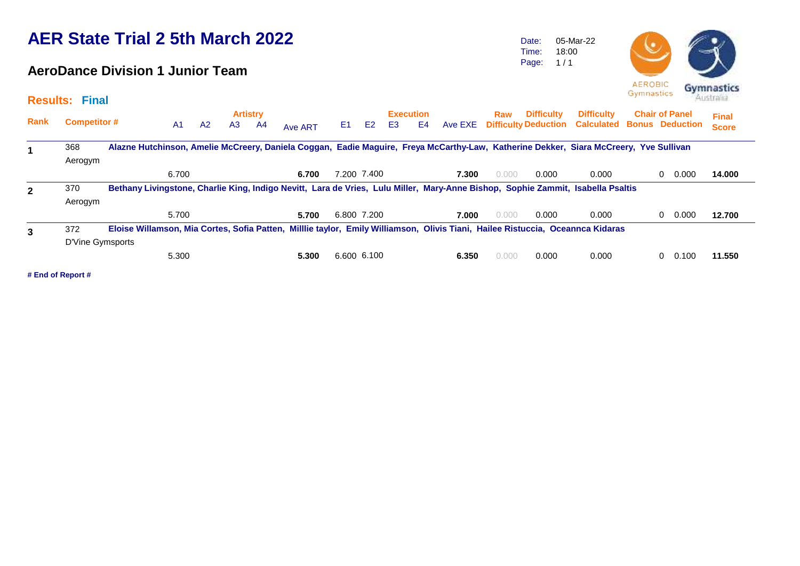### **AeroDance Division 1 Junior Team**

Date: Time: Page: 05-Mar-22 18:00  $1/1$ 



|              | <b>Results: Final</b> |                                                                                                                                       |                |                |                                   |    |         |                |                |    |                        |       |       |                   |                                                              |                        |                       | Australia                    |
|--------------|-----------------------|---------------------------------------------------------------------------------------------------------------------------------------|----------------|----------------|-----------------------------------|----|---------|----------------|----------------|----|------------------------|-------|-------|-------------------|--------------------------------------------------------------|------------------------|-----------------------|------------------------------|
| <b>Rank</b>  | <b>Competitor #</b>   |                                                                                                                                       | A <sub>1</sub> | A <sub>2</sub> | <b>Artistry</b><br>A <sub>3</sub> | A4 | Ave ART | E <sub>1</sub> | E <sub>2</sub> | E3 | <b>Execution</b><br>E4 |       | Raw   | <b>Difficulty</b> | <b>Difficulty</b><br>Ave EXE Difficulty Deduction Calculated | <b>Bonus Deduction</b> | <b>Chair of Panel</b> | <b>Final</b><br><b>Score</b> |
|              | 368<br>Aerogym        | Alazne Hutchinson, Amelie McCreery, Daniela Coggan, Eadie Maguire, Freya McCarthy-Law, Katherine Dekker, Siara McCreery, Yve Sullivan |                |                |                                   |    |         |                |                |    |                        |       |       |                   |                                                              |                        |                       |                              |
|              |                       |                                                                                                                                       | 6.700          |                |                                   |    | 6.700   |                | 7.200 7.400    |    |                        | 7.300 | 0.000 | 0.000             | 0.000                                                        |                        | 0.000<br>$\Omega$     | 14.000                       |
| $\mathbf{2}$ | 370                   | Bethany Livingstone, Charlie King, Indigo Nevitt, Lara de Vries, Lulu Miller, Mary-Anne Bishop, Sophie Zammit, Isabella Psaltis       |                |                |                                   |    |         |                |                |    |                        |       |       |                   |                                                              |                        |                       |                              |
|              | Aerogym               |                                                                                                                                       |                |                |                                   |    |         |                |                |    |                        |       |       |                   |                                                              |                        |                       |                              |
|              |                       |                                                                                                                                       | 5.700          |                |                                   |    | 5.700   | 6.800 7.200    |                |    |                        | 7.000 | 0.000 | 0.000             | 0.000                                                        |                        | 0.000<br>0            | 12.700                       |
| 3            | 372                   | Eloise Willamson, Mia Cortes, Sofia Patten, Milllie taylor, Emily Williamson, Olivis Tiani, Hailee Ristuccia, Oceannca Kidaras        |                |                |                                   |    |         |                |                |    |                        |       |       |                   |                                                              |                        |                       |                              |
|              | D'Vine Gymsports      |                                                                                                                                       |                |                |                                   |    |         |                |                |    |                        |       |       |                   |                                                              |                        |                       |                              |
|              |                       |                                                                                                                                       | 5.300          |                |                                   |    | 5.300   | 6.600 6.100    |                |    |                        | 6.350 | 0.000 | 0.000             | 0.000                                                        |                        | 0.100<br>0            | 11.550                       |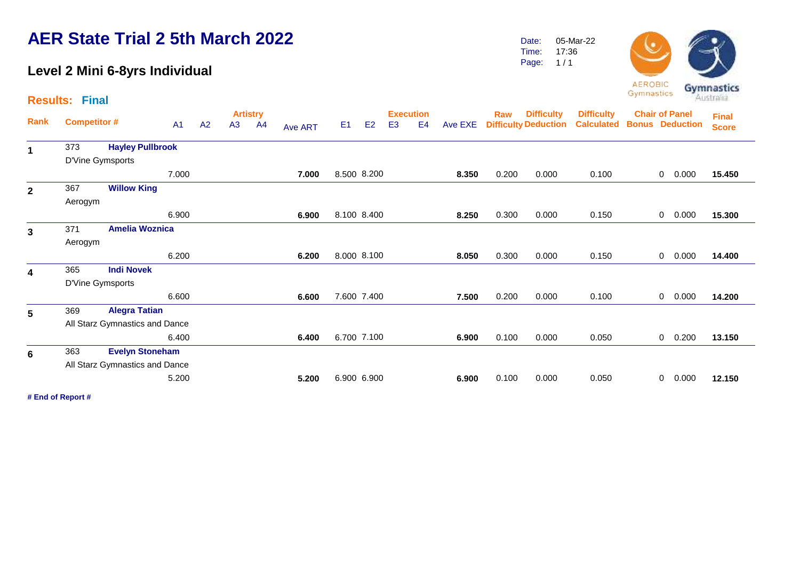### **Level 2 Mini 6-8yrs Individual**

Date: Time: 05-Mar-22 17:36

Page:  $1/1$ 



**AEROBIC** Gymnastics

|                         | <b>Results: Final</b> |                                |       |    |    |                       |                |                |                |                                    |                |       |       |                                                   |                                        | -----------           |             |                        | Australia                    |  |
|-------------------------|-----------------------|--------------------------------|-------|----|----|-----------------------|----------------|----------------|----------------|------------------------------------|----------------|-------|-------|---------------------------------------------------|----------------------------------------|-----------------------|-------------|------------------------|------------------------------|--|
| Rank                    | <b>Competitor#</b>    |                                | A1    | A2 | A3 | <b>Artistry</b><br>A4 | <b>Ave ART</b> | E <sub>1</sub> | E <sub>2</sub> | <b>Execution</b><br>E <sub>3</sub> | E <sub>4</sub> |       | Raw   | <b>Difficulty</b><br>Ave EXE Difficulty Deduction | <b>Difficulty</b><br><b>Calculated</b> | <b>Chair of Panel</b> |             | <b>Bonus Deduction</b> | <b>Final</b><br><b>Score</b> |  |
| 1                       | 373                   | <b>Hayley Pullbrook</b>        |       |    |    |                       |                |                |                |                                    |                |       |       |                                                   |                                        |                       |             |                        |                              |  |
|                         | D'Vine Gymsports      |                                |       |    |    |                       |                |                |                |                                    |                |       |       |                                                   |                                        |                       |             |                        |                              |  |
|                         |                       |                                | 7.000 |    |    |                       | 7.000          | 8.500 8.200    |                |                                    |                | 8.350 | 0.200 | 0.000                                             | 0.100                                  |                       | 0           | 0.000                  | 15.450                       |  |
| $\mathbf{2}$            | 367                   | <b>Willow King</b>             |       |    |    |                       |                |                |                |                                    |                |       |       |                                                   |                                        |                       |             |                        |                              |  |
|                         | Aerogym               |                                |       |    |    |                       |                |                |                |                                    |                |       |       |                                                   |                                        |                       |             |                        |                              |  |
|                         |                       |                                | 6.900 |    |    |                       | 6.900          | 8.100 8.400    |                |                                    |                | 8.250 | 0.300 | 0.000                                             | 0.150                                  |                       | $\mathbf 0$ | 0.000                  | 15.300                       |  |
| $\mathbf{3}$            | 371                   | <b>Amelia Woznica</b>          |       |    |    |                       |                |                |                |                                    |                |       |       |                                                   |                                        |                       |             |                        |                              |  |
|                         | Aerogym               |                                |       |    |    |                       |                |                |                |                                    |                |       |       |                                                   |                                        |                       |             |                        |                              |  |
|                         |                       |                                | 6.200 |    |    |                       | 6.200          | 8.000 8.100    |                |                                    |                | 8.050 | 0.300 | 0.000                                             | 0.150                                  |                       | 0           | 0.000                  | 14.400                       |  |
| $\overline{\mathbf{4}}$ | 365                   | <b>Indi Novek</b>              |       |    |    |                       |                |                |                |                                    |                |       |       |                                                   |                                        |                       |             |                        |                              |  |
|                         | D'Vine Gymsports      |                                |       |    |    |                       |                |                |                |                                    |                |       |       |                                                   |                                        |                       |             |                        |                              |  |
|                         |                       |                                | 6.600 |    |    |                       | 6.600          | 7.600 7.400    |                |                                    |                | 7.500 | 0.200 | 0.000                                             | 0.100                                  |                       | 0           | 0.000                  | 14.200                       |  |
| 5                       | 369                   | <b>Alegra Tatian</b>           |       |    |    |                       |                |                |                |                                    |                |       |       |                                                   |                                        |                       |             |                        |                              |  |
|                         |                       | All Starz Gymnastics and Dance |       |    |    |                       |                |                |                |                                    |                |       |       |                                                   |                                        |                       |             |                        |                              |  |
|                         |                       |                                | 6.400 |    |    |                       | 6.400          | 6.700 7.100    |                |                                    |                | 6.900 | 0.100 | 0.000                                             | 0.050                                  |                       | 0           | 0.200                  | 13.150                       |  |
| 6                       | 363                   | <b>Evelyn Stoneham</b>         |       |    |    |                       |                |                |                |                                    |                |       |       |                                                   |                                        |                       |             |                        |                              |  |
|                         |                       | All Starz Gymnastics and Dance |       |    |    |                       |                |                |                |                                    |                |       |       |                                                   |                                        |                       |             |                        |                              |  |
|                         |                       |                                | 5.200 |    |    |                       | 5.200          | 6.900 6.900    |                |                                    |                | 6.900 | 0.100 | 0.000                                             | 0.050                                  |                       | 0           | 0.000                  | 12.150                       |  |
|                         |                       |                                |       |    |    |                       |                |                |                |                                    |                |       |       |                                                   |                                        |                       |             |                        |                              |  |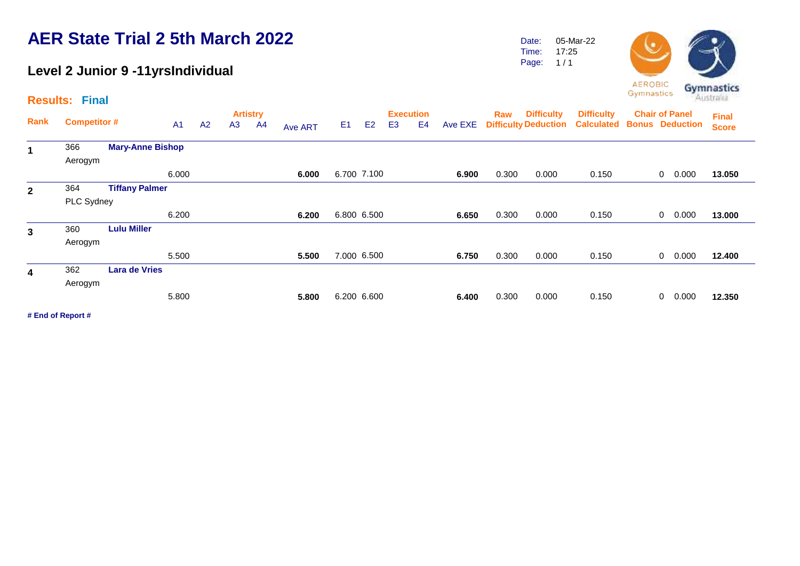#### **Level 2 Junior 9 -11yrsIndividual**

Date: Time: Page: 05-Mar-22 17:25  $1/1$ 



**Artistry Execution Rank Raw Competitor #** A1 A2 A3 A4 A<sub>Ve ART</sub> E1 E2 E3 E4 Ave EXE Difficulty Deduction Calculated Bonus Deduction **Chair of Panel Results: Final** A1 A2 A3 A4 <sub>Ave ART</sub> E1 E2 E3 E4 Ave EXE **Final Score Difficulty Difficulty**  <sup>366</sup> **Mary-Anne Bishop 1** Aerogym 6.000 **6.000** 6.700 7.100 **6.900** 0.300 0.000 0.150 0 0.000 **13.050** 364 **Tiffany Palmer 2** PLC Sydney 6.200 **6.200** 6.800 6.500 **6.650** 0.300 0.000 0.150 0 0.000 **13.000** <sup>360</sup> **Lulu Miller 3** Aerogym 5.500 **5.500** 7.000 6.500 **6.750** 0.300 0.000 0.150 0 0.000 **12.400** 362 **Lara de Vries 4** Aerogym 5.800 **5.800** 6.200 6.600 **6.400** 0.300 0.000 0.150 0 0.000 **12.350**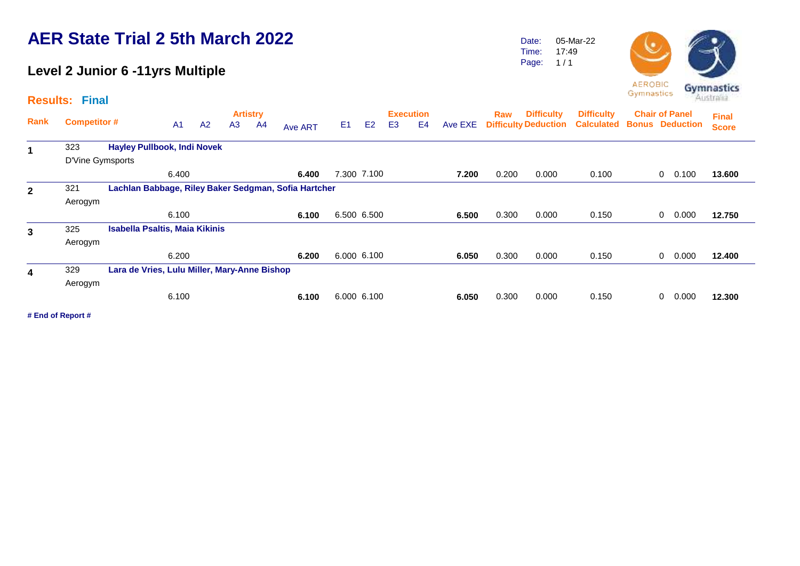## **Level 2 Junior 6 -11yrs Multiple**

|             | <b>Results: Final</b> |                                              |                |    |                |                       |                                                      |                |                |                                    |                |         |            |                                                  |                                        | <b>AEROBIC</b><br>Gymnastics                    |       | Gymnastics<br>Australia      |
|-------------|-----------------------|----------------------------------------------|----------------|----|----------------|-----------------------|------------------------------------------------------|----------------|----------------|------------------------------------|----------------|---------|------------|--------------------------------------------------|----------------------------------------|-------------------------------------------------|-------|------------------------------|
| Rank        | <b>Competitor#</b>    |                                              | A <sub>1</sub> | A2 | A <sub>3</sub> | <b>Artistry</b><br>A4 | Ave ART                                              | E <sub>1</sub> | E <sub>2</sub> | <b>Execution</b><br>E <sub>3</sub> | E <sub>4</sub> | Ave EXE | <b>Raw</b> | <b>Difficulty</b><br><b>Difficulty Deduction</b> | <b>Difficulty</b><br><b>Calculated</b> | <b>Chair of Panel</b><br><b>Bonus Deduction</b> |       | <b>Final</b><br><b>Score</b> |
| 1           | 323                   | <b>Hayley Pullbook, Indi Novek</b>           |                |    |                |                       |                                                      |                |                |                                    |                |         |            |                                                  |                                        |                                                 |       |                              |
|             | D'Vine Gymsports      |                                              |                |    |                |                       |                                                      |                |                |                                    |                |         |            |                                                  |                                        |                                                 |       |                              |
|             |                       |                                              | 6.400          |    |                |                       | 6.400                                                |                | 7.300 7.100    |                                    |                | 7.200   | 0.200      | 0.000                                            | 0.100                                  | 0                                               | 0.100 | 13.600                       |
| $\mathbf 2$ | 321                   |                                              |                |    |                |                       | Lachlan Babbage, Riley Baker Sedgman, Sofia Hartcher |                |                |                                    |                |         |            |                                                  |                                        |                                                 |       |                              |
|             | Aerogym               |                                              |                |    |                |                       |                                                      |                |                |                                    |                |         |            |                                                  |                                        |                                                 |       |                              |
|             |                       |                                              | 6.100          |    |                |                       | 6.100                                                |                | 6.500 6.500    |                                    |                | 6.500   | 0.300      | 0.000                                            | 0.150                                  | $\mathbf{0}$                                    | 0.000 | 12.750                       |
| 3           | 325                   | <b>Isabella Psaltis, Maia Kikinis</b>        |                |    |                |                       |                                                      |                |                |                                    |                |         |            |                                                  |                                        |                                                 |       |                              |
|             | Aerogym               |                                              |                |    |                |                       |                                                      |                |                |                                    |                |         |            |                                                  |                                        |                                                 |       |                              |
|             |                       |                                              | 6.200          |    |                |                       | 6.200                                                |                | 6.000 6.100    |                                    |                | 6.050   | 0.300      | 0.000                                            | 0.150                                  | 0                                               | 0.000 | 12.400                       |
| 4           | 329                   | Lara de Vries, Lulu Miller, Mary-Anne Bishop |                |    |                |                       |                                                      |                |                |                                    |                |         |            |                                                  |                                        |                                                 |       |                              |
|             | Aerogym               |                                              |                |    |                |                       |                                                      |                |                |                                    |                |         |            |                                                  |                                        |                                                 |       |                              |
|             |                       |                                              | 6.100          |    |                |                       | 6.100                                                |                | 6.000 6.100    |                                    |                | 6.050   | 0.300      | 0.000                                            | 0.150                                  | 0                                               | 0.000 | 12.300                       |

**# End of Report #**

Date: Time: Page: 05-Mar-22 17:49  $1/1$ 

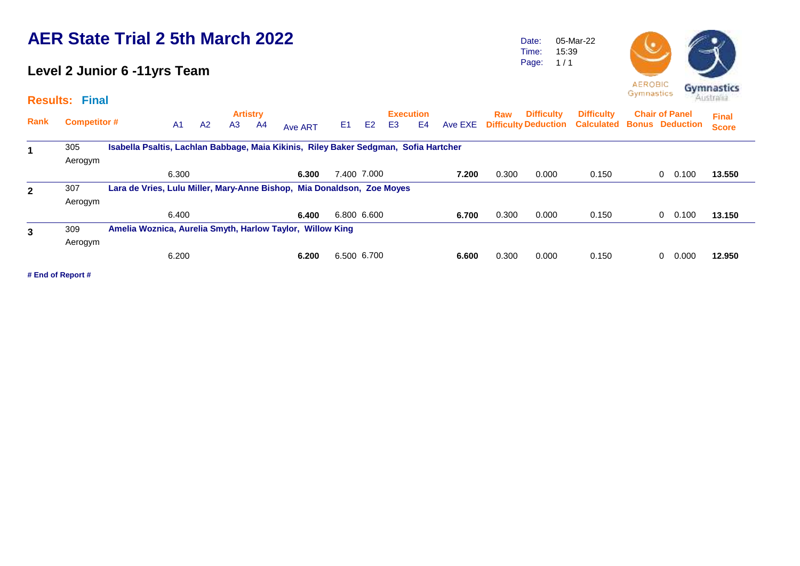### **Level 2 Junior 6 -11yrs Team**

**Results: Final**

Date: Time: Page: 05-Mar-22 15:39  $1/1$ 



|              |                     |                                                                                      |                |    |                | <b>Artistry</b> |         |                |                |    | <b>Execution</b> |       | <b>Raw</b> | <b>Difficulty</b> | <b>Difficulty</b>                                       | <b>Chair of Panel</b> | <b>Final</b> |
|--------------|---------------------|--------------------------------------------------------------------------------------|----------------|----|----------------|-----------------|---------|----------------|----------------|----|------------------|-------|------------|-------------------|---------------------------------------------------------|-----------------------|--------------|
| Rank         | <b>Competitor #</b> |                                                                                      | A <sub>1</sub> | A2 | A <sub>3</sub> | A4              | Ave ART | E <sub>1</sub> | E <sub>2</sub> | E3 | E4               |       |            |                   | Ave EXE Difficulty Deduction Calculated Bonus Deduction |                       | <b>Score</b> |
|              | 305                 | Isabella Psaltis, Lachlan Babbage, Maia Kikinis, Riley Baker Sedgman, Sofia Hartcher |                |    |                |                 |         |                |                |    |                  |       |            |                   |                                                         |                       |              |
|              | Aerogym             |                                                                                      |                |    |                |                 |         |                |                |    |                  |       |            |                   |                                                         |                       |              |
|              |                     |                                                                                      | 6.300          |    |                |                 | 6.300   |                | 7.400 7.000    |    |                  | 7.200 | 0.300      | 0.000             | 0.150                                                   | 0.100<br>$\Omega$     | 13.550       |
| $\mathbf{2}$ | 307                 | Lara de Vries, Lulu Miller, Mary-Anne Bishop, Mia Donaldson, Zoe Moyes               |                |    |                |                 |         |                |                |    |                  |       |            |                   |                                                         |                       |              |
|              | Aerogym             |                                                                                      |                |    |                |                 |         |                |                |    |                  |       |            |                   |                                                         |                       |              |
|              |                     |                                                                                      | 6.400          |    |                |                 | 6.400   | 6.800 6.600    |                |    |                  | 6.700 | 0.300      | 0.000             | 0.150                                                   | 0.100<br>$\Omega$     | 13.150       |
| 3            | 309                 | Amelia Woznica, Aurelia Smyth, Harlow Taylor, Willow King                            |                |    |                |                 |         |                |                |    |                  |       |            |                   |                                                         |                       |              |
|              | Aerogym             |                                                                                      |                |    |                |                 |         |                |                |    |                  |       |            |                   |                                                         |                       |              |
|              |                     |                                                                                      | 6.200          |    |                |                 | 6.200   | 6.500 6.700    |                |    |                  | 6.600 | 0.300      | 0.000             | 0.150                                                   | 0.000<br>$\Omega$     | 12.950       |
|              |                     |                                                                                      |                |    |                |                 |         |                |                |    |                  |       |            |                   |                                                         |                       |              |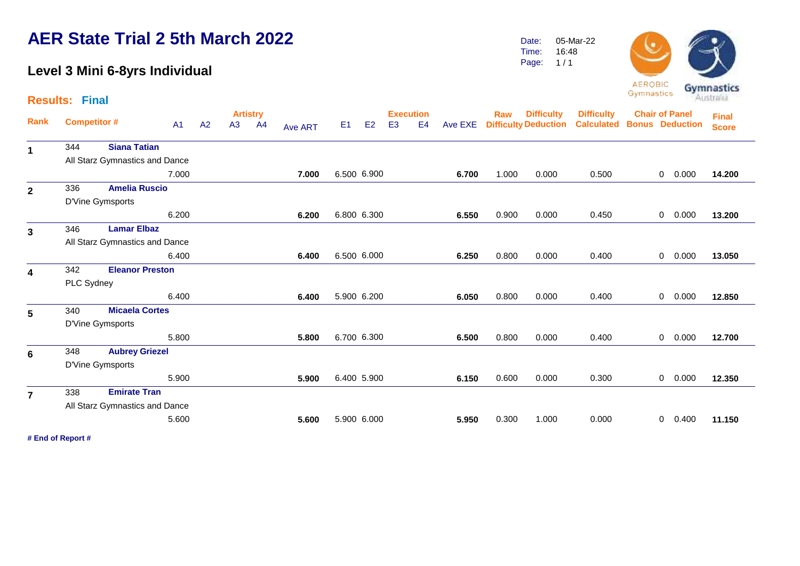### **Level 3 Mini 6-8yrs Individual**

**Results: Final**

|                         |            |                                |                |    |    | <b>Artistry</b> |                |                |             |                | <b>Execution</b> |         | Raw   | <b>Difficulty</b>           | <b>Difficulty</b> | <b>Chair of Panel</b>  |                |       | <b>Final</b> |
|-------------------------|------------|--------------------------------|----------------|----|----|-----------------|----------------|----------------|-------------|----------------|------------------|---------|-------|-----------------------------|-------------------|------------------------|----------------|-------|--------------|
| Rank                    |            | <b>Competitor #</b>            | A <sub>1</sub> | A2 | A3 | A <sub>4</sub>  | <b>Ave ART</b> | E <sub>1</sub> | E2          | E <sub>3</sub> | E <sub>4</sub>   | Ave EXE |       | <b>Difficulty Deduction</b> | <b>Calculated</b> | <b>Bonus Deduction</b> |                |       | <b>Score</b> |
| $\mathbf 1$             | 344        | <b>Siana Tatian</b>            |                |    |    |                 |                |                |             |                |                  |         |       |                             |                   |                        |                |       |              |
|                         |            | All Starz Gymnastics and Dance |                |    |    |                 |                |                |             |                |                  |         |       |                             |                   |                        |                |       |              |
|                         |            |                                | 7.000          |    |    |                 | 7.000          |                | 6.500 6.900 |                |                  | 6.700   | 1.000 | 0.000                       | 0.500             |                        | $\overline{0}$ | 0.000 | 14.200       |
| $\mathbf{2}$            | 336        | <b>Amelia Ruscio</b>           |                |    |    |                 |                |                |             |                |                  |         |       |                             |                   |                        |                |       |              |
|                         |            | D'Vine Gymsports               |                |    |    |                 |                |                |             |                |                  |         |       |                             |                   |                        |                |       |              |
|                         |            |                                | 6.200          |    |    |                 | 6.200          |                | 6.800 6.300 |                |                  | 6.550   | 0.900 | 0.000                       | 0.450             |                        | $\overline{0}$ | 0.000 | 13.200       |
| $\overline{\mathbf{3}}$ | 346        | <b>Lamar Elbaz</b>             |                |    |    |                 |                |                |             |                |                  |         |       |                             |                   |                        |                |       |              |
|                         |            | All Starz Gymnastics and Dance |                |    |    |                 |                |                |             |                |                  |         |       |                             |                   |                        |                |       |              |
|                         |            |                                | 6.400          |    |    |                 | 6.400          |                | 6.500 6.000 |                |                  | 6.250   | 0.800 | 0.000                       | 0.400             |                        | $\overline{0}$ | 0.000 | 13.050       |
| $\overline{\mathbf{4}}$ | 342        | <b>Eleanor Preston</b>         |                |    |    |                 |                |                |             |                |                  |         |       |                             |                   |                        |                |       |              |
|                         | PLC Sydney |                                |                |    |    |                 |                |                |             |                |                  |         |       |                             |                   |                        |                |       |              |
|                         |            |                                | 6.400          |    |    |                 | 6.400          |                | 5.900 6.200 |                |                  | 6.050   | 0.800 | 0.000                       | 0.400             |                        | $\overline{0}$ | 0.000 | 12.850       |
| $5\phantom{.0}$         | 340        | <b>Micaela Cortes</b>          |                |    |    |                 |                |                |             |                |                  |         |       |                             |                   |                        |                |       |              |
|                         |            | D'Vine Gymsports               |                |    |    |                 |                |                |             |                |                  |         |       |                             |                   |                        |                |       |              |
|                         |            |                                | 5.800          |    |    |                 | 5.800          |                | 6.700 6.300 |                |                  | 6.500   | 0.800 | 0.000                       | 0.400             |                        | $\overline{0}$ | 0.000 | 12.700       |
| 6                       | 348        | <b>Aubrey Griezel</b>          |                |    |    |                 |                |                |             |                |                  |         |       |                             |                   |                        |                |       |              |
|                         |            | D'Vine Gymsports               |                |    |    |                 |                |                |             |                |                  |         |       |                             |                   |                        |                |       |              |
|                         |            |                                | 5.900          |    |    |                 | 5.900          |                | 6.400 5.900 |                |                  | 6.150   | 0.600 | 0.000                       | 0.300             |                        | $\overline{0}$ | 0.000 | 12.350       |
| $\overline{7}$          | 338        | <b>Emirate Tran</b>            |                |    |    |                 |                |                |             |                |                  |         |       |                             |                   |                        |                |       |              |
|                         |            | All Starz Gymnastics and Dance |                |    |    |                 |                |                |             |                |                  |         |       |                             |                   |                        |                |       |              |
|                         |            |                                | 5.600          |    |    |                 | 5.600          |                | 5.900 6.000 |                |                  | 5.950   | 0.300 | 1.000                       | 0.000             |                        | 0              | 0.400 | 11.150       |
|                         |            |                                |                |    |    |                 |                |                |             |                |                  |         |       |                             |                   |                        |                |       |              |

**# End of Report #**

05-Mar-22 16:48  $1/1$ 

Date: Time: Page:

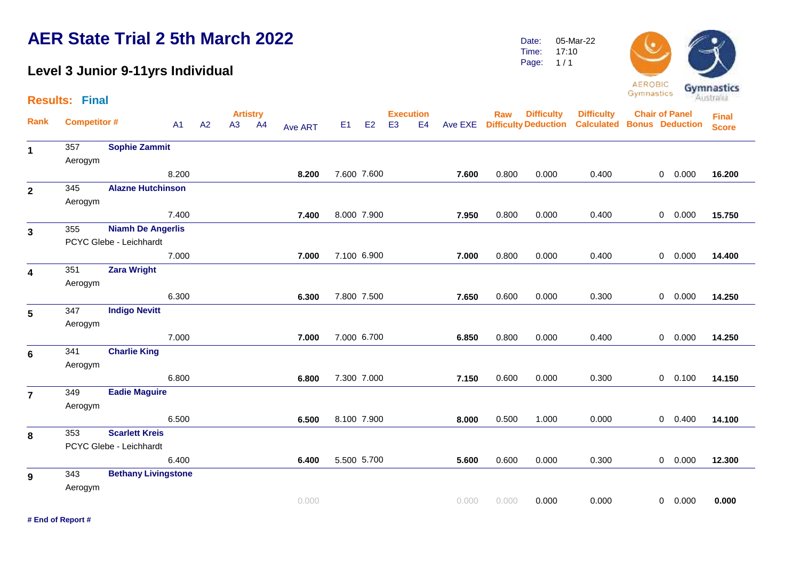### **Level 3 Junior 9-11yrs Individual**

**Results: Final**

**# End of Report #**

|                |                     |                            |       |    |    | <b>Artistry</b> |         |                |                |                | <b>Execution</b> |       | Raw   | <b>Difficulty</b>            | <b>Difficulty</b>                 | <b>Chair of Panel</b> |           | <b>Final</b> |  |
|----------------|---------------------|----------------------------|-------|----|----|-----------------|---------|----------------|----------------|----------------|------------------|-------|-------|------------------------------|-----------------------------------|-----------------------|-----------|--------------|--|
| Rank           | <b>Competitor #</b> |                            | A1    | A2 | A3 | A4              | Ave ART | E <sub>1</sub> | E <sub>2</sub> | E <sub>3</sub> | E <sub>4</sub>   |       |       | Ave EXE Difficulty Deduction | <b>Calculated Bonus Deduction</b> |                       |           | <b>Score</b> |  |
| 1              | 357                 | <b>Sophie Zammit</b>       |       |    |    |                 |         |                |                |                |                  |       |       |                              |                                   |                       |           |              |  |
|                | Aerogym             |                            |       |    |    |                 |         |                |                |                |                  |       |       |                              |                                   |                       |           |              |  |
|                |                     |                            | 8.200 |    |    |                 | 8.200   |                | 7.600 7.600    |                |                  | 7.600 | 0.800 | 0.000                        | 0.400                             |                       | 0 0.000   | 16.200       |  |
| $\overline{2}$ | 345                 | <b>Alazne Hutchinson</b>   |       |    |    |                 |         |                |                |                |                  |       |       |                              |                                   |                       |           |              |  |
|                | Aerogym             |                            |       |    |    |                 |         |                |                |                |                  |       |       |                              |                                   |                       |           |              |  |
|                |                     |                            | 7.400 |    |    |                 | 7.400   |                | 8.000 7.900    |                |                  | 7.950 | 0.800 | 0.000                        | 0.400                             |                       | 0 0.000   | 15.750       |  |
| $\mathbf{3}$   | 355                 | <b>Niamh De Angerlis</b>   |       |    |    |                 |         |                |                |                |                  |       |       |                              |                                   |                       |           |              |  |
|                |                     | PCYC Glebe - Leichhardt    |       |    |    |                 |         |                |                |                |                  |       |       |                              |                                   |                       |           |              |  |
|                |                     |                            | 7.000 |    |    |                 | 7.000   |                | 7.100 6.900    |                |                  | 7.000 | 0.800 | 0.000                        | 0.400                             |                       | 0 0.000   | 14.400       |  |
| 4              | 351                 | <b>Zara Wright</b>         |       |    |    |                 |         |                |                |                |                  |       |       |                              |                                   |                       |           |              |  |
|                | Aerogym             |                            |       |    |    |                 |         |                |                |                |                  |       |       |                              |                                   |                       |           |              |  |
|                |                     |                            | 6.300 |    |    |                 | 6.300   |                | 7.800 7.500    |                |                  | 7.650 | 0.600 | 0.000                        | 0.300                             |                       | 0 0.000   | 14.250       |  |
| 5              | 347                 | <b>Indigo Nevitt</b>       |       |    |    |                 |         |                |                |                |                  |       |       |                              |                                   |                       |           |              |  |
|                | Aerogym             |                            |       |    |    |                 |         |                |                |                |                  |       |       |                              |                                   |                       |           |              |  |
|                |                     |                            | 7.000 |    |    |                 | 7.000   |                | 7.000 6.700    |                |                  | 6.850 | 0.800 | 0.000                        | 0.400                             |                       | 0 0.000   | 14.250       |  |
| $6\phantom{1}$ | 341                 | <b>Charlie King</b>        |       |    |    |                 |         |                |                |                |                  |       |       |                              |                                   |                       |           |              |  |
|                | Aerogym             |                            |       |    |    |                 |         |                |                |                |                  |       |       |                              |                                   |                       |           |              |  |
|                |                     |                            | 6.800 |    |    |                 | 6.800   |                | 7.300 7.000    |                |                  | 7.150 | 0.600 | 0.000                        | 0.300                             |                       | $0$ 0.100 | 14.150       |  |
| $\overline{7}$ | 349                 | <b>Eadie Maguire</b>       |       |    |    |                 |         |                |                |                |                  |       |       |                              |                                   |                       |           |              |  |
|                | Aerogym             |                            |       |    |    |                 |         |                |                |                |                  |       |       |                              |                                   |                       |           |              |  |
|                |                     |                            | 6.500 |    |    |                 | 6.500   |                | 8.100 7.900    |                |                  | 8.000 | 0.500 | 1.000                        | 0.000                             |                       | $0$ 0.400 | 14.100       |  |
| 8              | 353                 | <b>Scarlett Kreis</b>      |       |    |    |                 |         |                |                |                |                  |       |       |                              |                                   |                       |           |              |  |
|                |                     | PCYC Glebe - Leichhardt    |       |    |    |                 |         |                |                |                |                  |       |       |                              |                                   |                       |           |              |  |
|                |                     |                            | 6.400 |    |    |                 | 6.400   |                | 5.500 5.700    |                |                  | 5.600 | 0.600 | 0.000                        | 0.300                             |                       | 0 0.000   | 12.300       |  |
| 9              | 343                 | <b>Bethany Livingstone</b> |       |    |    |                 |         |                |                |                |                  |       |       |                              |                                   |                       |           |              |  |
|                | Aerogym             |                            |       |    |    |                 |         |                |                |                |                  |       |       |                              |                                   |                       |           |              |  |
|                |                     |                            |       |    |    |                 | 0.000   |                |                |                |                  | 0.000 | 0.000 | 0.000                        | 0.000                             |                       | 0 0.000   | 0.000        |  |



Date: Time: 05-Mar-22 17:10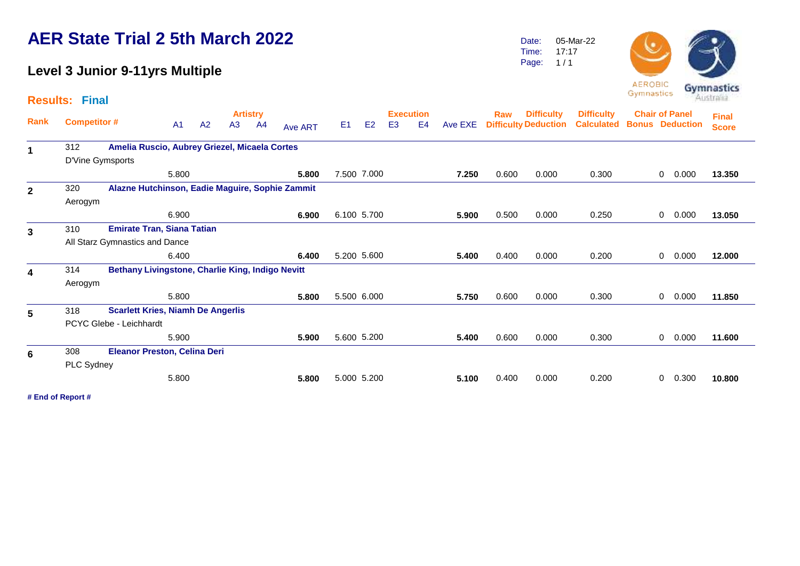### **Level 3 Junior 9-11yrs Multiple**

**Results: Final**

Date: Time: Page: 05-Mar-22 17:17  $1/1$ 



Gymnastics

| Rank         | <b>Competitor#</b> |                                                  | A <sub>1</sub> | A2 | <b>Artistry</b><br>A3 | A4 | Ave ART | E <sub>1</sub> | E2 | <b>Execution</b><br>E <sub>3</sub> | E <sub>4</sub> | Ave EXE | <b>Raw</b> | <b>Difficulty</b><br><b>Difficulty Deduction</b> | <b>Difficulty</b><br><b>Calculated</b> | <b>Chair of Panel</b><br><b>Bonus Deduction</b> |   |       | <b>Final</b><br><b>Score</b> |
|--------------|--------------------|--------------------------------------------------|----------------|----|-----------------------|----|---------|----------------|----|------------------------------------|----------------|---------|------------|--------------------------------------------------|----------------------------------------|-------------------------------------------------|---|-------|------------------------------|
|              |                    |                                                  |                |    |                       |    |         |                |    |                                    |                |         |            |                                                  |                                        |                                                 |   |       |                              |
| 1            | 312                | Amelia Ruscio, Aubrey Griezel, Micaela Cortes    |                |    |                       |    |         |                |    |                                    |                |         |            |                                                  |                                        |                                                 |   |       |                              |
|              | D'Vine Gymsports   |                                                  |                |    |                       |    |         |                |    |                                    |                |         |            |                                                  |                                        |                                                 |   |       |                              |
|              |                    |                                                  | 5.800          |    |                       |    | 5.800   | 7.500 7.000    |    |                                    |                | 7.250   | 0.600      | 0.000                                            | 0.300                                  |                                                 | 0 | 0.000 | 13.350                       |
| $\mathbf{2}$ | 320                | Alazne Hutchinson, Eadie Maguire, Sophie Zammit  |                |    |                       |    |         |                |    |                                    |                |         |            |                                                  |                                        |                                                 |   |       |                              |
|              | Aerogym            |                                                  |                |    |                       |    |         |                |    |                                    |                |         |            |                                                  |                                        |                                                 |   |       |                              |
|              |                    |                                                  | 6.900          |    |                       |    | 6.900   | 6.100 5.700    |    |                                    |                | 5.900   | 0.500      | 0.000                                            | 0.250                                  |                                                 | 0 | 0.000 | 13.050                       |
| $\mathbf{3}$ | 310                | <b>Emirate Tran, Siana Tatian</b>                |                |    |                       |    |         |                |    |                                    |                |         |            |                                                  |                                        |                                                 |   |       |                              |
|              |                    | All Starz Gymnastics and Dance                   |                |    |                       |    |         |                |    |                                    |                |         |            |                                                  |                                        |                                                 |   |       |                              |
|              |                    |                                                  | 6.400          |    |                       |    | 6.400   | 5.200 5.600    |    |                                    |                | 5.400   | 0.400      | 0.000                                            | 0.200                                  |                                                 | 0 | 0.000 | 12.000                       |
| 4            | 314                | Bethany Livingstone, Charlie King, Indigo Nevitt |                |    |                       |    |         |                |    |                                    |                |         |            |                                                  |                                        |                                                 |   |       |                              |
|              | Aerogym            |                                                  |                |    |                       |    |         |                |    |                                    |                |         |            |                                                  |                                        |                                                 |   |       |                              |
|              |                    |                                                  | 5.800          |    |                       |    | 5.800   | 5.500 6.000    |    |                                    |                | 5.750   | 0.600      | 0.000                                            | 0.300                                  |                                                 | 0 | 0.000 | 11.850                       |
| 5            | 318                | <b>Scarlett Kries, Niamh De Angerlis</b>         |                |    |                       |    |         |                |    |                                    |                |         |            |                                                  |                                        |                                                 |   |       |                              |
|              |                    | PCYC Glebe - Leichhardt                          |                |    |                       |    |         |                |    |                                    |                |         |            |                                                  |                                        |                                                 |   |       |                              |
|              |                    |                                                  | 5.900          |    |                       |    | 5.900   | 5.600 5.200    |    |                                    |                | 5.400   | 0.600      | 0.000                                            | 0.300                                  |                                                 | 0 | 0.000 | 11.600                       |
| 6            | 308                | <b>Eleanor Preston, Celina Deri</b>              |                |    |                       |    |         |                |    |                                    |                |         |            |                                                  |                                        |                                                 |   |       |                              |
|              | PLC Sydney         |                                                  |                |    |                       |    |         |                |    |                                    |                |         |            |                                                  |                                        |                                                 |   |       |                              |
|              |                    |                                                  | 5.800          |    |                       |    | 5.800   | 5.000 5.200    |    |                                    |                | 5.100   | 0.400      | 0.000                                            | 0.200                                  |                                                 | 0 | 0.300 | 10.800                       |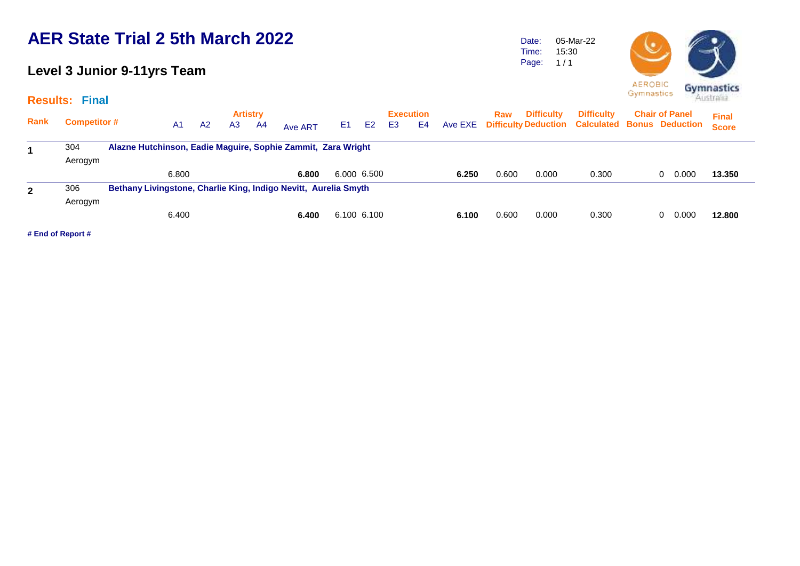### **Level 3 Junior 9-11yrs Team**

**Results: Final**

Date: Time: Page: 05-Mar-22 15:30  $1/1$ 



| <b>Rank</b> | <b>Competitor #</b> | A <sub>1</sub> | A2 | A <sub>3</sub> | <b>Artistry</b><br>-A4 | Ave ART                                                         | E1 | E <sub>2</sub> | E <sub>3</sub> | <b>Execution</b><br>E <sub>4</sub> | Ave EXE | Raw   | <b>Difficulty</b> | <b>Difficulty</b><br><b>Difficulty Deduction Calculated Bonus Deduction</b> | <b>Chair of Panel</b> | <b>Final</b><br><b>Score</b> |
|-------------|---------------------|----------------|----|----------------|------------------------|-----------------------------------------------------------------|----|----------------|----------------|------------------------------------|---------|-------|-------------------|-----------------------------------------------------------------------------|-----------------------|------------------------------|
|             | 304<br>Aerogym      |                |    |                |                        | Alazne Hutchinson, Eadie Maguire, Sophie Zammit, Zara Wright    |    |                |                |                                    |         |       |                   |                                                                             |                       |                              |
|             |                     | 6.800          |    |                |                        | 6.800                                                           |    | 6.000 6.500    |                |                                    | 6.250   | 0.600 | 0.000             | 0.300                                                                       | 0.000<br>0            | 13,350                       |
|             | 306<br>Aerogym      |                |    |                |                        | Bethany Livingstone, Charlie King, Indigo Nevitt, Aurelia Smyth |    |                |                |                                    |         |       |                   |                                                                             |                       |                              |
|             |                     | 6.400          |    |                |                        | 6.400                                                           |    | 6.100 6.100    |                |                                    | 6.100   | 0.600 | 0.000             | 0.300                                                                       | 0.000<br>0            | 12,800                       |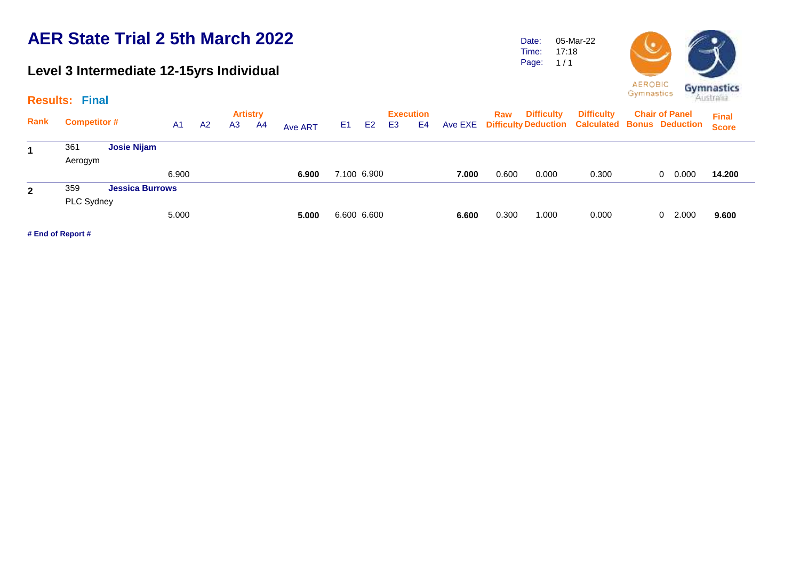### **Level 3 Intermediate 12-15yrs Individual**

Date: Time: Page: 05-Mar-22 17:18  $1/1$ 



|              |                     |                        |                |                |                | <b>Artistry</b> |         |                |                | <b>Execution</b> |    |         | <b>Raw</b> | <b>Difficulty</b> | <b>Difficulty</b>                                      | <b>Chair of Panel</b> | <b>Final</b> |
|--------------|---------------------|------------------------|----------------|----------------|----------------|-----------------|---------|----------------|----------------|------------------|----|---------|------------|-------------------|--------------------------------------------------------|-----------------------|--------------|
| Rank         | <b>Competitor #</b> |                        | A <sub>1</sub> | A <sub>2</sub> | A <sub>3</sub> | A4              | Ave ART | E <sub>1</sub> | E <sub>2</sub> | E <sub>3</sub>   | E4 | Ave EXE |            |                   | <b>Difficulty Deduction Calculated Bonus Deduction</b> |                       | <b>Score</b> |
|              | 361                 | <b>Josie Nijam</b>     |                |                |                |                 |         |                |                |                  |    |         |            |                   |                                                        |                       |              |
|              | Aerogym             |                        |                |                |                |                 |         |                |                |                  |    |         |            |                   |                                                        |                       |              |
|              |                     |                        | 6.900          |                |                |                 | 6.900   |                | 7.100 6.900    |                  |    | 7.000   | 0.600      | 0.000             | 0.300                                                  | 0.000<br>$\mathbf{0}$ | 14.200       |
| $\mathbf{2}$ | 359                 | <b>Jessica Burrows</b> |                |                |                |                 |         |                |                |                  |    |         |            |                   |                                                        |                       |              |
|              | PLC Sydney          |                        |                |                |                |                 |         |                |                |                  |    |         |            |                   |                                                        |                       |              |
|              |                     |                        | 5.000          |                |                |                 | 5.000   |                | 6.600 6.600    |                  |    | 6.600   | 0.300      | 1.000             | 0.000                                                  | 2.000<br>0            | 9.600        |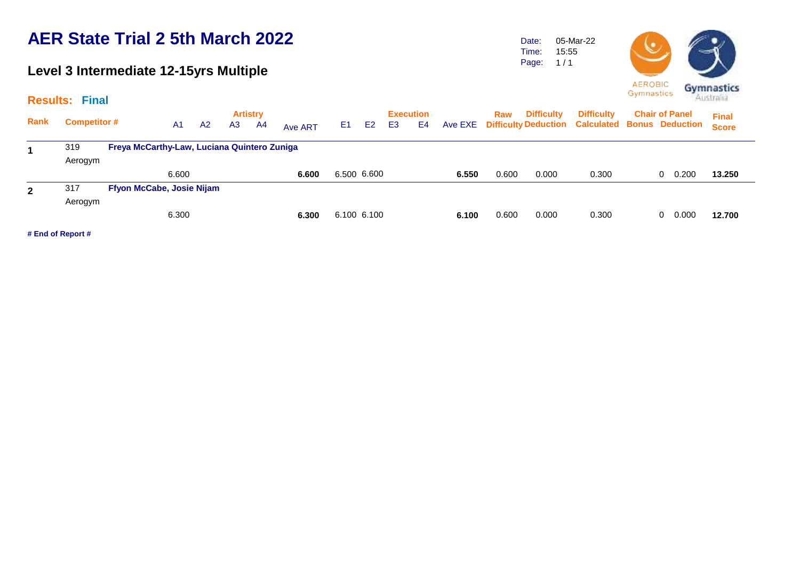### **Level 3 Intermediate 12-15yrs Multiple**

Date: Time: Page: 05-Mar-22 15:55  $1/1$ 



| s: Final            |                                             |                |    |                       |         |       |           |                 |  |                       | AENOBIC <b>Gymnastics</b>                                                                         |              |  |
|---------------------|---------------------------------------------|----------------|----|-----------------------|---------|-------|-----------|-----------------|--|-----------------------|---------------------------------------------------------------------------------------------------|--------------|--|
| <b>Competitor #</b> | A1.                                         | A <sub>2</sub> | A3 | <b>Artistry</b><br>A4 | Ave ART | E1 E2 | $\sim$ E3 | Execution<br>E4 |  | <b>Raw</b> Difficulty | <b>Difficulty</b> Chair of Panel<br>Ave EXE Difficulty Deduction Calculated Bonus Deduction Score | <b>Final</b> |  |
| 319                 | Freya McCarthy-Law, Luciana Quintero Zuniga |                |    |                       |         |       |           |                 |  |                       |                                                                                                   |              |  |

| 319     |                           |       |                                             |       |       |       |       |       |                     |
|---------|---------------------------|-------|---------------------------------------------|-------|-------|-------|-------|-------|---------------------|
| Aerogym |                           |       |                                             |       |       |       |       |       |                     |
|         | 6.600                     | 6.600 | 6.500 6.600                                 | 6.550 | 0.600 | 0.000 | 0.300 | 0.200 | 13.250              |
| 317     | Ffyon McCabe, Josie Nijam |       |                                             |       |       |       |       |       |                     |
| Aerogym |                           |       |                                             |       |       |       |       |       |                     |
|         | 6.300                     | 6.300 | 6.100 6.100                                 | 6.100 | 0.600 | 0.000 | 0.300 |       | 12.700              |
|         |                           |       | Freya McCarthy-Law, Luciana Quintero Zuniga |       |       |       |       |       | 0<br>$0\quad 0.000$ |

**# End of Report #**

**Rank**

**Results: Final**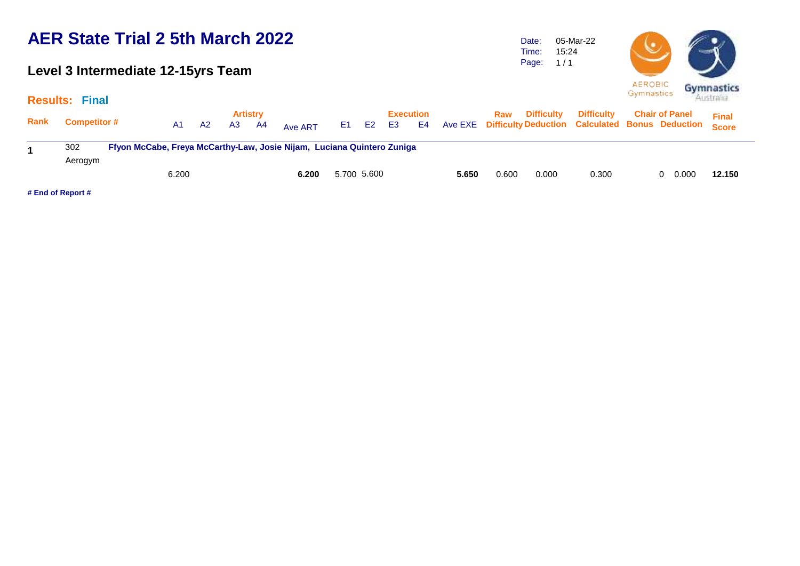### **Level 3 Intermediate 12-15yrs Team**

Time: Page: 15:24  $1/1$ 

05-Mar-22

Date:



|      | <b>Results: Final</b> |                                                                        |       |           |    |                       |         |    |                |    |                 |       |       |                   |                                                                                    | Australian            |              |  |
|------|-----------------------|------------------------------------------------------------------------|-------|-----------|----|-----------------------|---------|----|----------------|----|-----------------|-------|-------|-------------------|------------------------------------------------------------------------------------|-----------------------|--------------|--|
| Rank | <b>Competitor #</b>   |                                                                        | A1    | <b>A2</b> | A3 | <b>Artistry</b><br>A4 | Ave ART | E1 | E <sub>2</sub> | E3 | Execution<br>E4 |       | Raw   | <b>Difficulty</b> | <b>Difficulty</b><br>Ave EXE Difficulty Deduction Calculated Bonus Deduction Score | <b>Chair of Panel</b> | <b>Final</b> |  |
|      | 302                   | Ffyon McCabe, Freya McCarthy-Law, Josie Nijam, Luciana Quintero Zuniga |       |           |    |                       |         |    |                |    |                 |       |       |                   |                                                                                    |                       |              |  |
|      | Aerogym               |                                                                        |       |           |    |                       |         |    |                |    |                 |       |       |                   |                                                                                    |                       |              |  |
|      |                       |                                                                        | 6.200 |           |    |                       | 6.200   |    | 5.700 5.600    |    |                 | 5.650 | 0.600 | 0.000             | 0.300                                                                              | 0.000                 | 12.150       |  |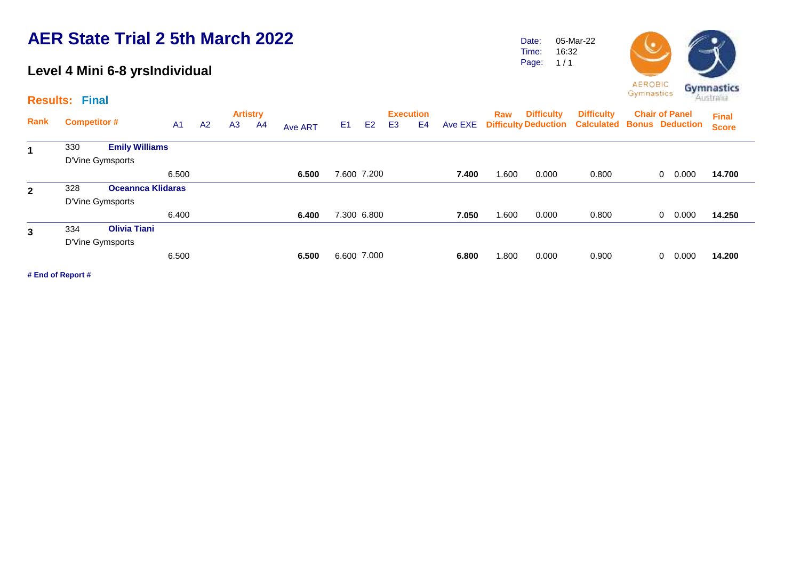### **Level 4 Mini 6-8 yrsIndividual**

**Results: Final**

|              | $1000$ uno. Tiidi |                          |                |                |                |                 |                |    |             |    |                  |         |       |                   |                                                        |                       |                       |              |
|--------------|-------------------|--------------------------|----------------|----------------|----------------|-----------------|----------------|----|-------------|----|------------------|---------|-------|-------------------|--------------------------------------------------------|-----------------------|-----------------------|--------------|
|              |                   | <b>Competitor #</b>      |                |                |                | <b>Artistry</b> |                |    |             |    | <b>Execution</b> |         | Raw   | <b>Difficulty</b> | <b>Difficulty</b>                                      | <b>Chair of Panel</b> | <b>Final</b>          |              |
| Rank         |                   |                          | A <sub>1</sub> | A <sub>2</sub> | A <sub>3</sub> | A4              | <b>Ave ART</b> | E1 | E2          | E3 | E4               | Ave EXE |       |                   | <b>Difficulty Deduction Calculated Bonus Deduction</b> |                       |                       | <b>Score</b> |
|              | 330               | <b>Emily Williams</b>    |                |                |                |                 |                |    |             |    |                  |         |       |                   |                                                        |                       |                       |              |
|              |                   | D'Vine Gymsports         |                |                |                |                 |                |    |             |    |                  |         |       |                   |                                                        |                       |                       |              |
|              |                   |                          | 6.500          |                |                |                 | 6.500          |    | 7.600 7.200 |    |                  | 7.400   | .600  | 0.000             | 0.800                                                  |                       | 0.000<br>0            | 14.700       |
| $\mathbf{2}$ | 328               | <b>Oceannca Klidaras</b> |                |                |                |                 |                |    |             |    |                  |         |       |                   |                                                        |                       |                       |              |
|              |                   | D'Vine Gymsports         |                |                |                |                 |                |    |             |    |                  |         |       |                   |                                                        |                       |                       |              |
|              |                   |                          | 6.400          |                |                |                 | 6.400          |    | 7.300 6.800 |    |                  | 7.050   | 0.600 | 0.000             | 0.800                                                  |                       | 0.000<br>$\mathbf{0}$ | 14.250       |
| 3            | 334               | <b>Olivia Tiani</b>      |                |                |                |                 |                |    |             |    |                  |         |       |                   |                                                        |                       |                       |              |
|              |                   | D'Vine Gymsports         |                |                |                |                 |                |    |             |    |                  |         |       |                   |                                                        |                       |                       |              |
|              |                   |                          | 6.500          |                |                |                 | 6.500          |    | 6.600 7.000 |    |                  | 6.800   | .800  | 0.000             | 0.900                                                  |                       | 0.000<br>0            | 14.200       |
|              |                   |                          |                |                |                |                 |                |    |             |    |                  |         |       |                   |                                                        |                       |                       |              |

**# End of Report #**



Date: Time: 05-Mar-22 16:32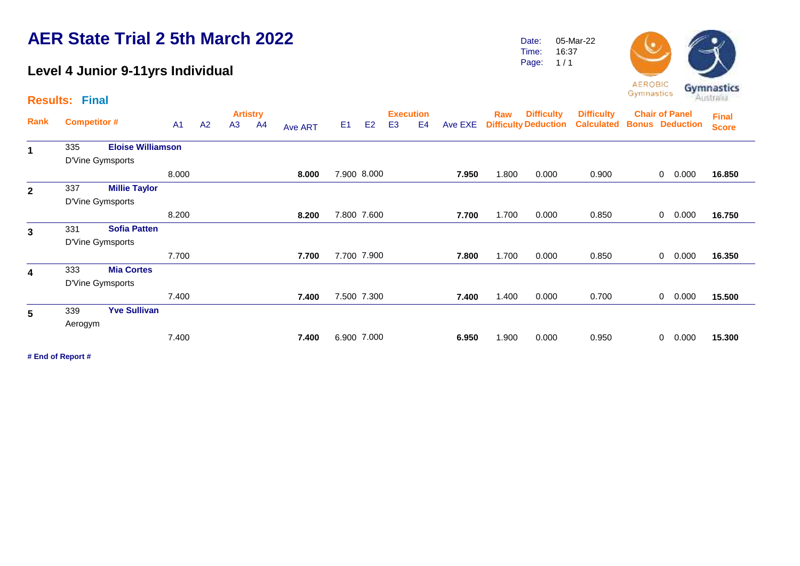### **Level 4 Junior 9-11yrs Individual**

Date: Time: 05-Mar-22 16:37



|                | <b>Results: Final</b> |                          |                |    |    | <b>Artistry</b> |         |                |                |                                    |                |         |       |                                                  |                                        |                                                 |              |       |                              |
|----------------|-----------------------|--------------------------|----------------|----|----|-----------------|---------|----------------|----------------|------------------------------------|----------------|---------|-------|--------------------------------------------------|----------------------------------------|-------------------------------------------------|--------------|-------|------------------------------|
| Rank           | <b>Competitor #</b>   |                          | A <sub>1</sub> | A2 | A3 | A <sup>4</sup>  | Ave ART | E <sub>1</sub> | E <sub>2</sub> | <b>Execution</b><br>E <sub>3</sub> | E <sub>4</sub> | Ave EXE | Raw   | <b>Difficulty</b><br><b>Difficulty Deduction</b> | <b>Difficulty</b><br><b>Calculated</b> | <b>Chair of Panel</b><br><b>Bonus Deduction</b> |              |       | <b>Final</b><br><b>Score</b> |
|                | 335                   | <b>Eloise Williamson</b> |                |    |    |                 |         |                |                |                                    |                |         |       |                                                  |                                        |                                                 |              |       |                              |
|                |                       | D'Vine Gymsports         |                |    |    |                 |         |                |                |                                    |                |         |       |                                                  |                                        |                                                 |              |       |                              |
|                |                       |                          | 8.000          |    |    |                 | 8.000   |                | 7.900 8.000    |                                    |                | 7.950   | 1.800 | 0.000                                            | 0.900                                  |                                                 | $\mathbf{0}$ | 0.000 | 16.850                       |
| $\mathbf{2}$   | 337                   | <b>Millie Taylor</b>     |                |    |    |                 |         |                |                |                                    |                |         |       |                                                  |                                        |                                                 |              |       |                              |
|                |                       | D'Vine Gymsports         |                |    |    |                 |         |                |                |                                    |                |         |       |                                                  |                                        |                                                 |              |       |                              |
|                |                       |                          | 8.200          |    |    |                 | 8.200   |                | 7.800 7.600    |                                    |                | 7.700   | 1.700 | 0.000                                            | 0.850                                  |                                                 | $\mathbf{0}$ | 0.000 | 16.750                       |
| $\mathbf{3}$   | 331                   | <b>Sofia Patten</b>      |                |    |    |                 |         |                |                |                                    |                |         |       |                                                  |                                        |                                                 |              |       |                              |
|                |                       | D'Vine Gymsports         |                |    |    |                 |         |                |                |                                    |                |         |       |                                                  |                                        |                                                 |              |       |                              |
|                |                       |                          | 7.700          |    |    |                 | 7.700   |                | 7.700 7.900    |                                    |                | 7.800   | 1.700 | 0.000                                            | 0.850                                  |                                                 | $\mathbf{0}$ | 0.000 | 16.350                       |
| 4              | 333                   | <b>Mia Cortes</b>        |                |    |    |                 |         |                |                |                                    |                |         |       |                                                  |                                        |                                                 |              |       |                              |
|                |                       | D'Vine Gymsports         |                |    |    |                 |         |                |                |                                    |                |         |       |                                                  |                                        |                                                 |              |       |                              |
|                |                       |                          | 7.400          |    |    |                 | 7.400   |                | 7.500 7.300    |                                    |                | 7.400   | 1.400 | 0.000                                            | 0.700                                  |                                                 | $\mathbf{0}$ | 0.000 | 15.500                       |
| $5\phantom{1}$ | 339                   | <b>Yve Sullivan</b>      |                |    |    |                 |         |                |                |                                    |                |         |       |                                                  |                                        |                                                 |              |       |                              |
|                | Aerogym               |                          |                |    |    |                 |         |                |                |                                    |                |         |       |                                                  |                                        |                                                 |              |       |                              |
|                |                       |                          | 7.400          |    |    |                 | 7.400   |                | 6.900 7.000    |                                    |                | 6.950   | 1.900 | 0.000                                            | 0.950                                  |                                                 | $\mathbf{0}$ | 0.000 | 15.300                       |
|                | # End of Report #     |                          |                |    |    |                 |         |                |                |                                    |                |         |       |                                                  |                                        |                                                 |              |       |                              |
|                |                       |                          |                |    |    |                 |         |                |                |                                    |                |         |       |                                                  |                                        |                                                 |              |       |                              |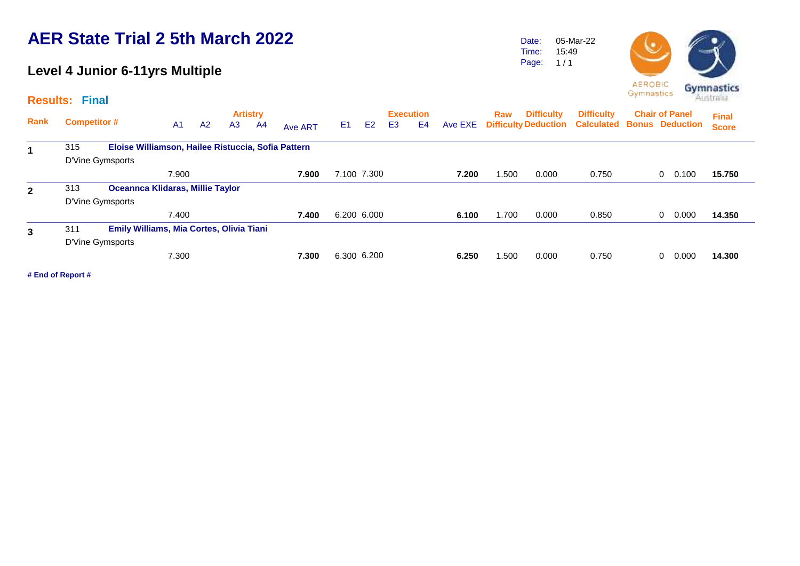### **Level 4 Junior 6-11yrs Multiple**

#### **Results: Final**

Date: Time: Page: 05-Mar-22 15:49  $1/1$ 



| Rank         | <b>Competitor #</b> |                                                    | A <sub>1</sub> | A2 | <b>Artistry</b><br>A3 | A4 | <b>Ave ART</b> | E <sub>1</sub> | E <sub>2</sub> | E <sub>3</sub> | <b>Execution</b><br>E <sub>4</sub> | Ave EXE | Raw  | <b>Difficulty</b> | <b>Difficulty</b><br><b>Difficulty Deduction Calculated Bonus Deduction</b> | <b>Chair of Panel</b> |   |       | <b>Final</b><br><b>Score</b> |
|--------------|---------------------|----------------------------------------------------|----------------|----|-----------------------|----|----------------|----------------|----------------|----------------|------------------------------------|---------|------|-------------------|-----------------------------------------------------------------------------|-----------------------|---|-------|------------------------------|
| 1            | 315                 | Eloise Williamson, Hailee Ristuccia, Sofia Pattern |                |    |                       |    |                |                |                |                |                                    |         |      |                   |                                                                             |                       |   |       |                              |
|              |                     | D'Vine Gymsports                                   |                |    |                       |    |                |                |                |                |                                    |         |      |                   |                                                                             |                       |   |       |                              |
|              |                     |                                                    | 7.900          |    |                       |    | 7.900          | 7.100 7.300    |                |                |                                    | 7.200   | .500 | 0.000             | 0.750                                                                       |                       | 0 | 0.100 | 15.750                       |
| $\mathbf{2}$ | 313                 | <b>Oceannca Klidaras, Millie Taylor</b>            |                |    |                       |    |                |                |                |                |                                    |         |      |                   |                                                                             |                       |   |       |                              |
|              |                     | D'Vine Gymsports                                   |                |    |                       |    |                |                |                |                |                                    |         |      |                   |                                                                             |                       |   |       |                              |
|              |                     |                                                    | 7.400          |    |                       |    | 7.400          | 6.200 6.000    |                |                |                                    | 6.100   | .700 | 0.000             | 0.850                                                                       |                       |   | 0.000 | 14.350                       |
| $\mathbf{3}$ | 311                 | <b>Emily Williams, Mia Cortes, Olivia Tiani</b>    |                |    |                       |    |                |                |                |                |                                    |         |      |                   |                                                                             |                       |   |       |                              |
|              |                     | D'Vine Gymsports                                   |                |    |                       |    |                |                |                |                |                                    |         |      |                   |                                                                             |                       |   |       |                              |
|              |                     |                                                    | 7.300          |    |                       |    | 7.300          | 6.300 6.200    |                |                |                                    | 6.250   | .500 | 0.000             | 0.750                                                                       |                       |   | 0.000 | 14.300                       |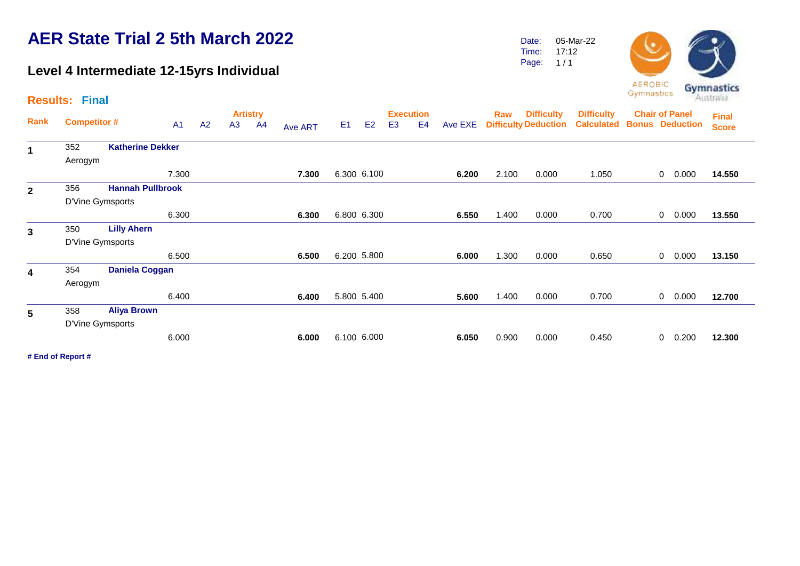### **Level 4 Intermediate 12-15yrs Individual**

Date: Time: 05-Mar-22 17:12

Page:  $1/1$ 



|                         | <b>Results: Final</b> |                         |           |                |                       |                |         |                |                |                                    |                |         |       |                                                  |                                        | -----------                                     |                |       | Australia                    |
|-------------------------|-----------------------|-------------------------|-----------|----------------|-----------------------|----------------|---------|----------------|----------------|------------------------------------|----------------|---------|-------|--------------------------------------------------|----------------------------------------|-------------------------------------------------|----------------|-------|------------------------------|
| Rank                    | <b>Competitor #</b>   |                         | <b>A1</b> | A <sub>2</sub> | <b>Artistry</b><br>A3 | A <sub>4</sub> | Ave ART | E <sub>1</sub> | E <sub>2</sub> | <b>Execution</b><br>E <sub>3</sub> | E <sub>4</sub> | Ave EXE | Raw   | <b>Difficulty</b><br><b>Difficulty Deduction</b> | <b>Difficulty</b><br><b>Calculated</b> | <b>Chair of Panel</b><br><b>Bonus Deduction</b> |                |       | <b>Final</b><br><b>Score</b> |
| $\mathbf 1$             | 352                   | <b>Katherine Dekker</b> |           |                |                       |                |         |                |                |                                    |                |         |       |                                                  |                                        |                                                 |                |       |                              |
|                         | Aerogym               |                         |           |                |                       |                |         |                |                |                                    |                |         |       |                                                  |                                        |                                                 |                |       |                              |
|                         |                       |                         | 7.300     |                |                       |                | 7.300   |                | 6.300 6.100    |                                    |                | 6.200   | 2.100 | 0.000                                            | 1.050                                  |                                                 | $\mathbf{0}$   | 0.000 | 14.550                       |
| $\mathbf{2}$            | 356                   | <b>Hannah Pullbrook</b> |           |                |                       |                |         |                |                |                                    |                |         |       |                                                  |                                        |                                                 |                |       |                              |
|                         | D'Vine Gymsports      |                         |           |                |                       |                |         |                |                |                                    |                |         |       |                                                  |                                        |                                                 |                |       |                              |
|                         |                       |                         | 6.300     |                |                       |                | 6.300   |                | 6.800 6.300    |                                    |                | 6.550   | 1.400 | 0.000                                            | 0.700                                  |                                                 | $\overline{0}$ | 0.000 | 13.550                       |
| $\overline{\mathbf{3}}$ | 350                   | <b>Lilly Ahern</b>      |           |                |                       |                |         |                |                |                                    |                |         |       |                                                  |                                        |                                                 |                |       |                              |
|                         | D'Vine Gymsports      |                         |           |                |                       |                |         |                |                |                                    |                |         |       |                                                  |                                        |                                                 |                |       |                              |
|                         |                       |                         | 6.500     |                |                       |                | 6.500   |                | 6.200 5.800    |                                    |                | 6.000   | 1.300 | 0.000                                            | 0.650                                  |                                                 | $\mathbf{0}$   | 0.000 | 13.150                       |
| 4                       | 354                   | <b>Daniela Coggan</b>   |           |                |                       |                |         |                |                |                                    |                |         |       |                                                  |                                        |                                                 |                |       |                              |
|                         | Aerogym               |                         |           |                |                       |                |         |                |                |                                    |                |         |       |                                                  |                                        |                                                 |                |       |                              |
|                         |                       |                         | 6.400     |                |                       |                | 6.400   |                | 5.800 5.400    |                                    |                | 5.600   | 1.400 | 0.000                                            | 0.700                                  |                                                 | $\overline{0}$ | 0.000 | 12.700                       |
| 5                       | 358                   | <b>Aliya Brown</b>      |           |                |                       |                |         |                |                |                                    |                |         |       |                                                  |                                        |                                                 |                |       |                              |
|                         | D'Vine Gymsports      |                         |           |                |                       |                |         |                |                |                                    |                |         |       |                                                  |                                        |                                                 |                |       |                              |
|                         |                       |                         | 6.000     |                |                       |                | 6.000   |                | 6.100 6.000    |                                    |                | 6.050   | 0.900 | 0.000                                            | 0.450                                  |                                                 | 0              | 0.200 | 12.300                       |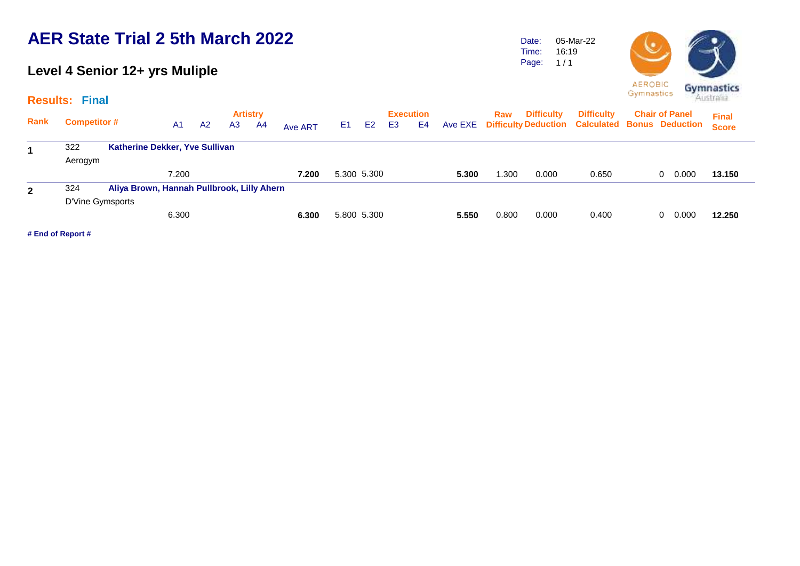#### **Level 4 Senior 12+ yrs Muliple**

#### **Results: Final**

**Artistry Execution Rank Raw Competitor #** A1 A2 A3 A4 A<sub>Ve ART</sub> E1 E2 E3 E4 Ave EXE Difficulty Deduction Calculated Bonus Deduction **Chair of Panel**  A1 A2 A3 A4 <sub>Ave ART</sub> E1 E2 E3 E4 Ave EXE **Final Score Difficulty Difficulty**  <sup>322</sup> **Katherine Dekker, Yve Sullivan 1** Aerogym 7.200 **7.200** 5.300 5.300 **5.300** 1.300 0.000 0.650 0 0.000 **13.150** 324 **Aliya Brown, Hannah Pullbrook, Lilly Ahern 2** D'Vine Gymsports 6.300 **6.300** 5.800 5.300 **5.550** 0.800 0.000 0.400 0 0.000 **12.250**

**# End of Report #**



Date: Time: 05-Mar-22 16:19